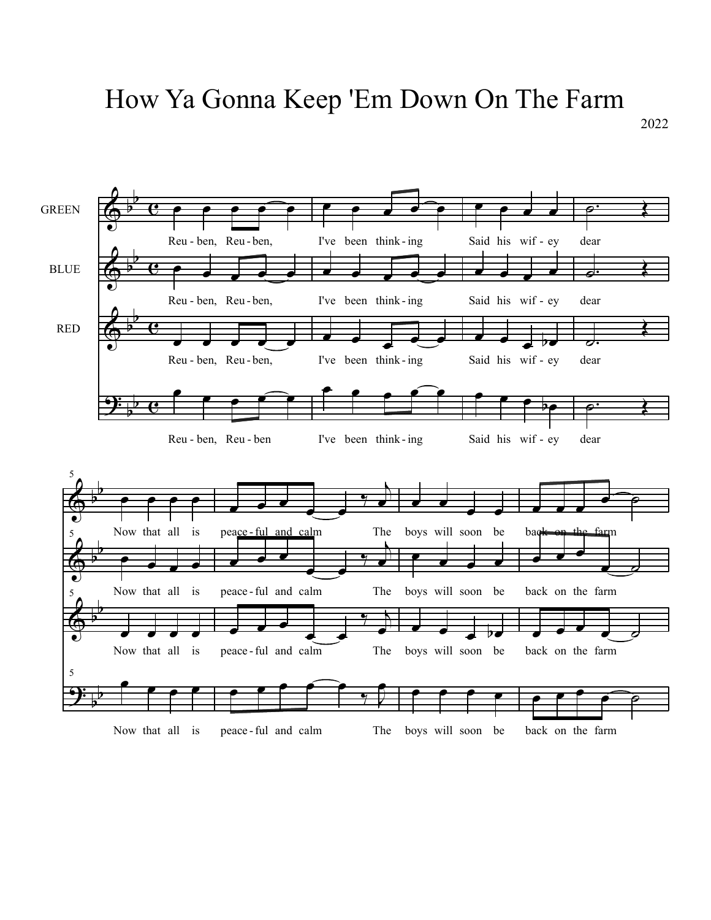## How Ya Gonna Keep 'Em Down On The Farm

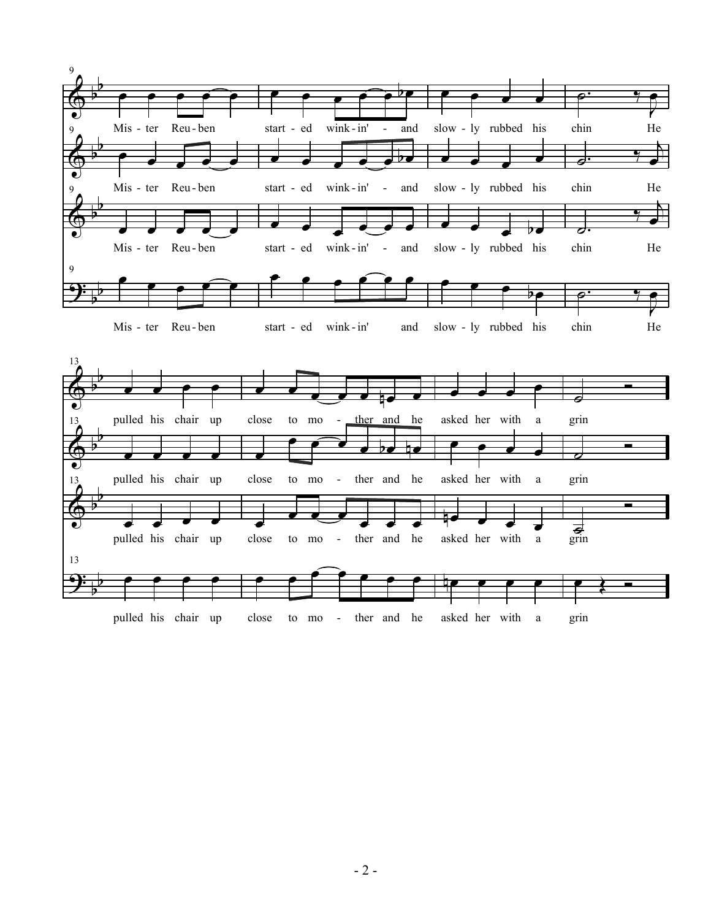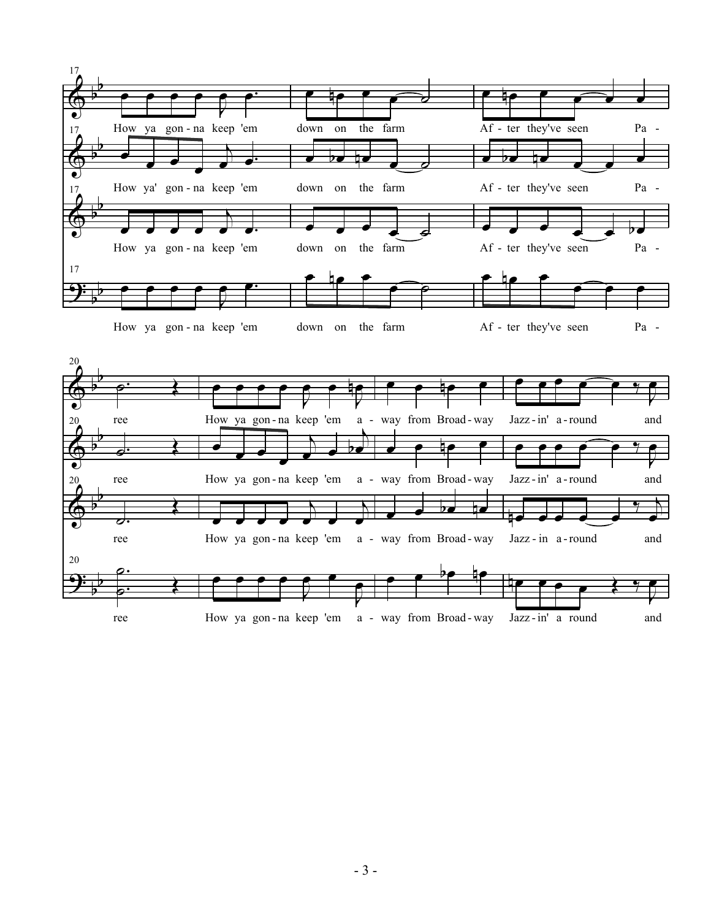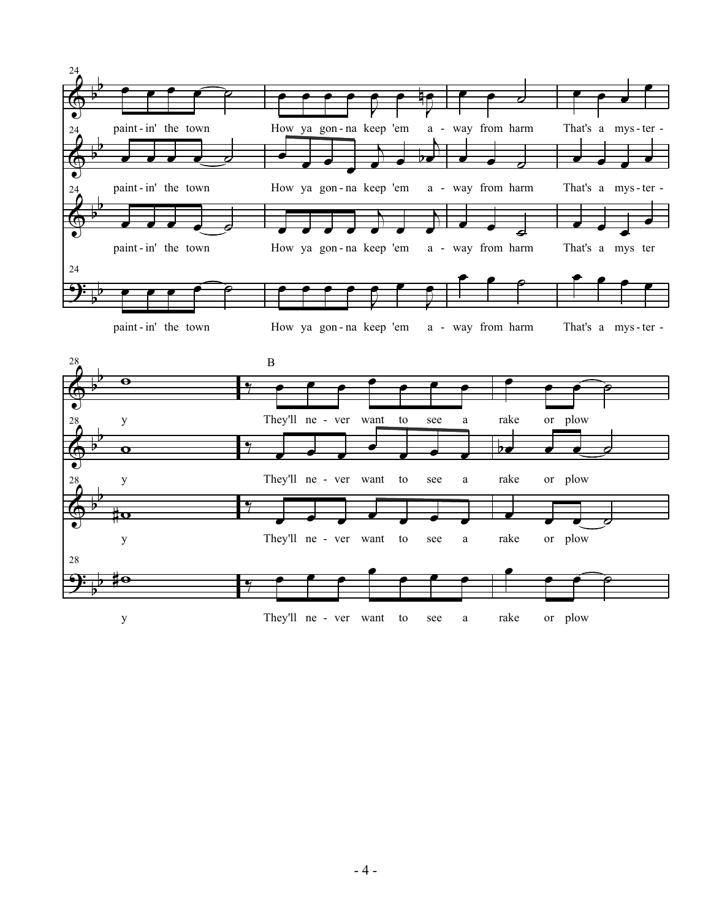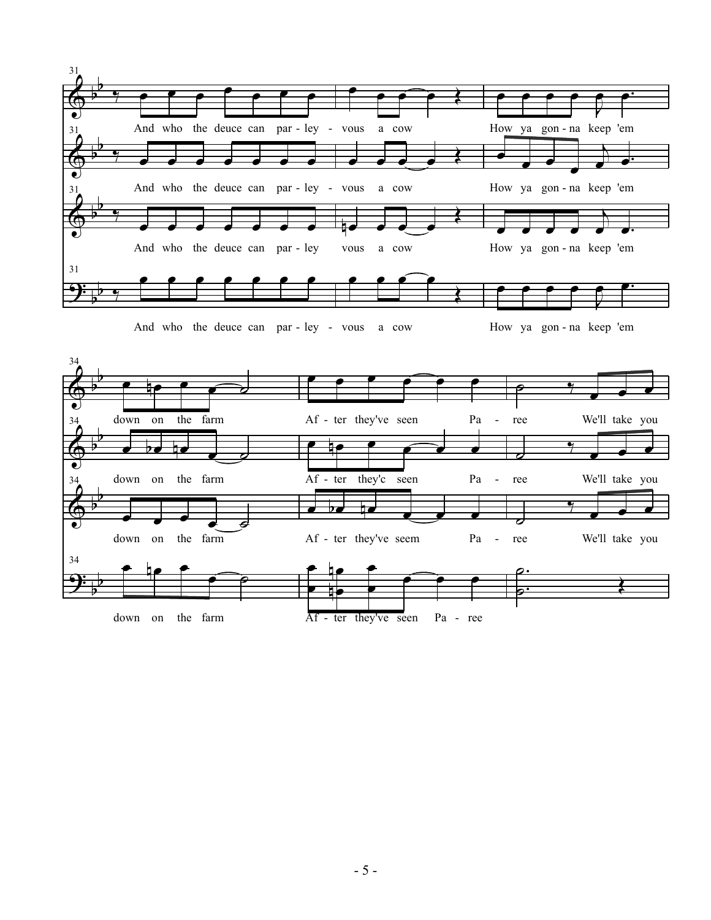

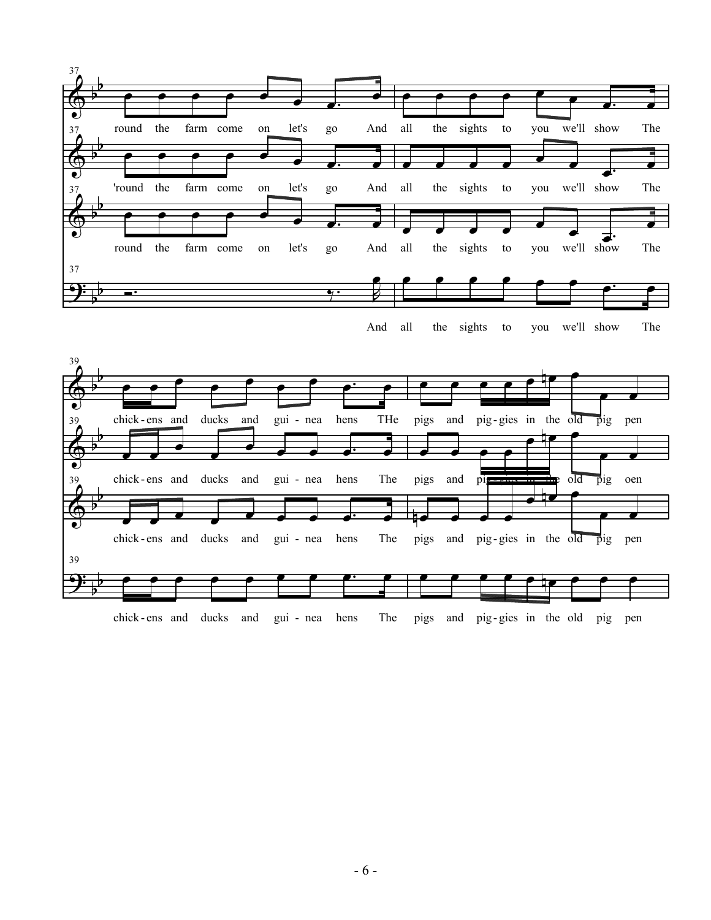

And the sights to you we'll show The



chick - ens and ducks and gui - nea hens The pigs and pig- gies in the old pig pen